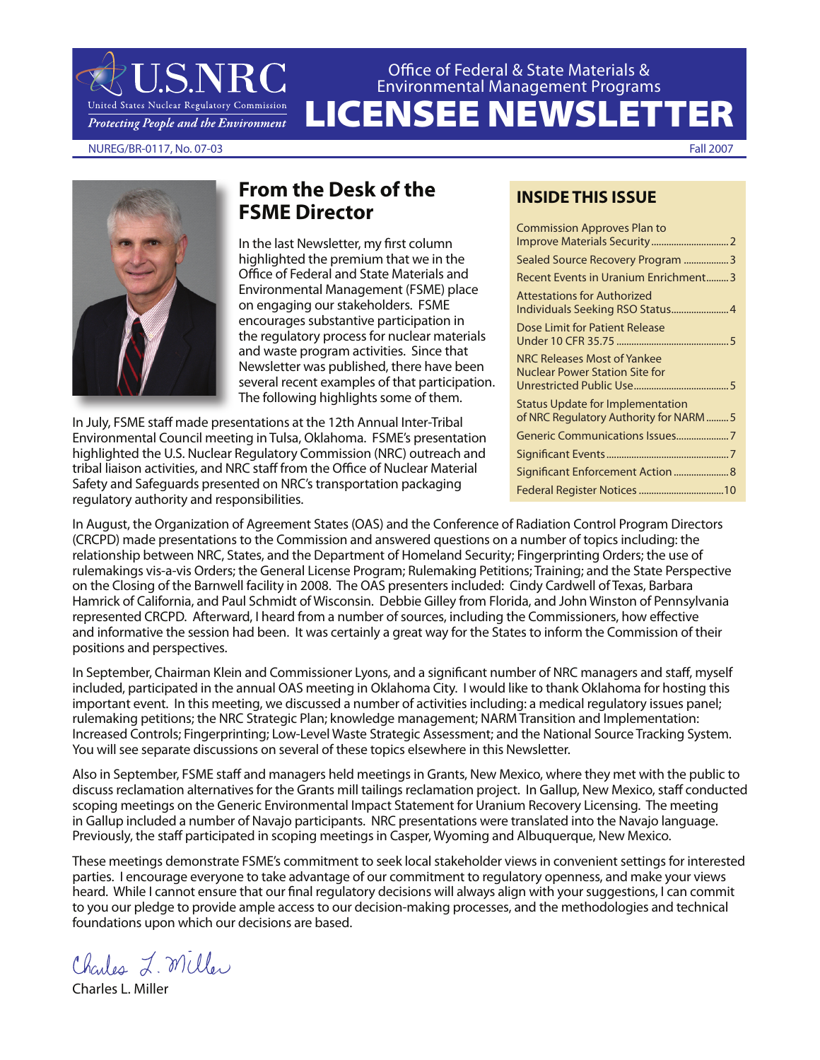Office of Federal & State Materials & Environmental Management Programs

LICENSEE NEWSLETTER

NUREG/BR-0117, No. 07-03 Fall 2007

**J.S.NRC** 

United States Nuclear Regulatory Commission **Protecting People and the Environment** 



# **From the Desk of the FSME Director**

In the last Newsletter, my first column highlighted the premium that we in the Office of Federal and State Materials and Environmental Management (FSME) place on engaging our stakeholders. FSME encourages substantive participation in the regulatory process for nuclear materials and waste program activities. Since that Newsletter was published, there have been several recent examples of that participation. The following highlights some of them.

In July, FSME staff made presentations at the 12th Annual Inter-Tribal Environmental Council meeting in Tulsa, Oklahoma. FSME's presentation highlighted the U.S. Nuclear Regulatory Commission (NRC) outreach and tribal liaison activities, and NRC staff from the Office of Nuclear Material Safety and Safeguards presented on NRC's transportation packaging regulatory authority and responsibilities.

## **INSIDE THIS ISSUE**

| <b>Commission Approves Plan to</b>                                               |
|----------------------------------------------------------------------------------|
|                                                                                  |
| Sealed Source Recovery Program 3                                                 |
| Recent Events in Uranium Enrichment3                                             |
| <b>Attestations for Authorized</b><br>Individuals Seeking RSO Status 4           |
| Dose Limit for Patient Release                                                   |
| NRC Releases Most of Yankee<br><b>Nuclear Power Station Site for</b>             |
| <b>Status Update for Implementation</b><br>of NRC Regulatory Authority for NARM5 |
| Generic Communications Issues7                                                   |
|                                                                                  |
| Significant Enforcement Action  8                                                |
|                                                                                  |
|                                                                                  |

In August, the Organization of Agreement States (OAS) and the Conference of Radiation Control Program Directors (CRCPD) made presentations to the Commission and answered questions on a number of topics including: the relationship between NRC, States, and the Department of Homeland Security; Fingerprinting Orders; the use of rulemakings vis-a-vis Orders; the General License Program; Rulemaking Petitions; Training; and the State Perspective on the Closing of the Barnwell facility in 2008. The OAS presenters included: Cindy Cardwell of Texas, Barbara Hamrick of California, and Paul Schmidt of Wisconsin. Debbie Gilley from Florida, and John Winston of Pennsylvania represented CRCPD. Afterward, I heard from a number of sources, including the Commissioners, how effective and informative the session had been. It was certainly a great way for the States to inform the Commission of their positions and perspectives.

In September, Chairman Klein and Commissioner Lyons, and a significant number of NRC managers and staff, myself included, participated in the annual OAS meeting in Oklahoma City. I would like to thank Oklahoma for hosting this important event. In this meeting, we discussed a number of activities including: a medical regulatory issues panel; rulemaking petitions; the NRC Strategic Plan; knowledge management; NARM Transition and Implementation: Increased Controls; Fingerprinting; Low-Level Waste Strategic Assessment; and the National Source Tracking System. You will see separate discussions on several of these topics elsewhere in this Newsletter.

Also in September, FSME staff and managers held meetings in Grants, New Mexico, where they met with the public to discuss reclamation alternatives for the Grants mill tailings reclamation project. In Gallup, New Mexico, staff conducted scoping meetings on the Generic Environmental Impact Statement for Uranium Recovery Licensing. The meeting in Gallup included a number of Navajo participants. NRC presentations were translated into the Navajo language. Previously, the staff participated in scoping meetings in Casper, Wyoming and Albuquerque, New Mexico.

These meetings demonstrate FSME's commitment to seek local stakeholder views in convenient settings for interested parties. I encourage everyone to take advantage of our commitment to regulatory openness, and make your views heard. While I cannot ensure that our final regulatory decisions will always align with your suggestions, I can commit to you our pledge to provide ample access to our decision-making processes, and the methodologies and technical foundations upon which our decisions are based.

Charles L. Miller

Charles L. Miller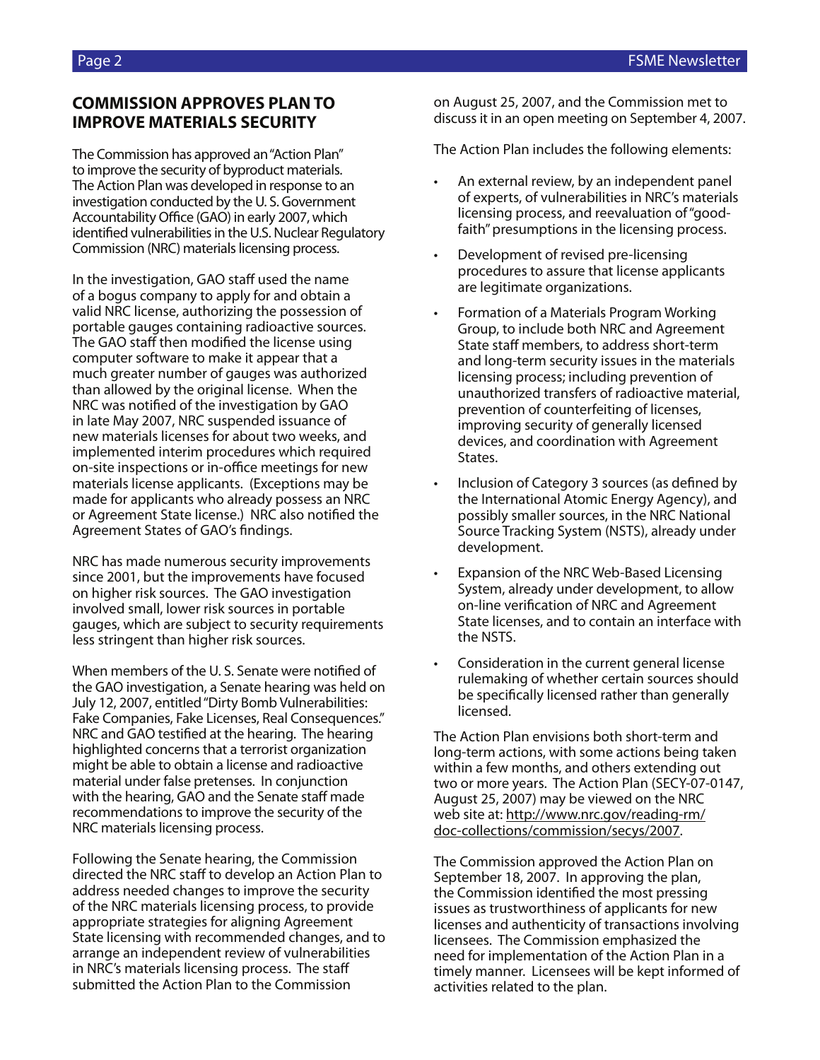## **COMMISSION APPROVES PLAN TO IMPROVE MATERIALS SECURITY**

The Commission has approved an "Action Plan" to improve the security of byproduct materials. The Action Plan was developed in response to an investigation conducted by the U. S. Government Accountability Office (GAO) in early 2007, which identified vulnerabilities in the U.S. Nuclear Regulatory Commission (NRC) materials licensing process.

In the investigation, GAO staff used the name of a bogus company to apply for and obtain a valid NRC license, authorizing the possession of portable gauges containing radioactive sources. The GAO staff then modified the license using computer software to make it appear that a much greater number of gauges was authorized than allowed by the original license. When the NRC was notified of the investigation by GAO in late May 2007, NRC suspended issuance of new materials licenses for about two weeks, and implemented interim procedures which required on-site inspections or in-office meetings for new materials license applicants. (Exceptions may be made for applicants who already possess an NRC or Agreement State license.) NRC also notified the Agreement States of GAO's findings.

NRC has made numerous security improvements since 2001, but the improvements have focused on higher risk sources. The GAO investigation involved small, lower risk sources in portable gauges, which are subject to security requirements less stringent than higher risk sources.

When members of the U. S. Senate were notified of the GAO investigation, a Senate hearing was held on July 12, 2007, entitled "Dirty Bomb Vulnerabilities: Fake Companies, Fake Licenses, Real Consequences." NRC and GAO testified at the hearing. The hearing highlighted concerns that a terrorist organization might be able to obtain a license and radioactive material under false pretenses. In conjunction with the hearing, GAO and the Senate staff made recommendations to improve the security of the NRC materials licensing process.

Following the Senate hearing, the Commission directed the NRC staff to develop an Action Plan to address needed changes to improve the security of the NRC materials licensing process, to provide appropriate strategies for aligning Agreement State licensing with recommended changes, and to arrange an independent review of vulnerabilities in NRC's materials licensing process. The staff submitted the Action Plan to the Commission

on August 25, 2007, and the Commission met to discuss it in an open meeting on September 4, 2007.

The Action Plan includes the following elements:

- An external review, by an independent panel of experts, of vulnerabilities in NRC's materials licensing process, and reevaluation of "goodfaith" presumptions in the licensing process.
- Development of revised pre-licensing procedures to assure that license applicants are legitimate organizations.
- Formation of a Materials Program Working Group, to include both NRC and Agreement State staff members, to address short-term and long-term security issues in the materials licensing process; including prevention of unauthorized transfers of radioactive material, prevention of counterfeiting of licenses, improving security of generally licensed devices, and coordination with Agreement States.
- Inclusion of Category 3 sources (as defined by the International Atomic Energy Agency), and possibly smaller sources, in the NRC National Source Tracking System (NSTS), already under development.
- Expansion of the NRC Web-Based Licensing System, already under development, to allow on-line verification of NRC and Agreement State licenses, and to contain an interface with the NSTS.
- Consideration in the current general license rulemaking of whether certain sources should be specifically licensed rather than generally licensed.

The Action Plan envisions both short-term and long-term actions, with some actions being taken within a few months, and others extending out two or more years. The Action Plan (SECY-07-0147, August 25, 2007) may be viewed on the NRC web site at: http://www.nrc.gov/reading-rm/ doc-collections/commission/secys/2007.

The Commission approved the Action Plan on September 18, 2007. In approving the plan, the Commission identified the most pressing issues as trustworthiness of applicants for new licenses and authenticity of transactions involving licensees. The Commission emphasized the need for implementation of the Action Plan in a timely manner. Licensees will be kept informed of activities related to the plan.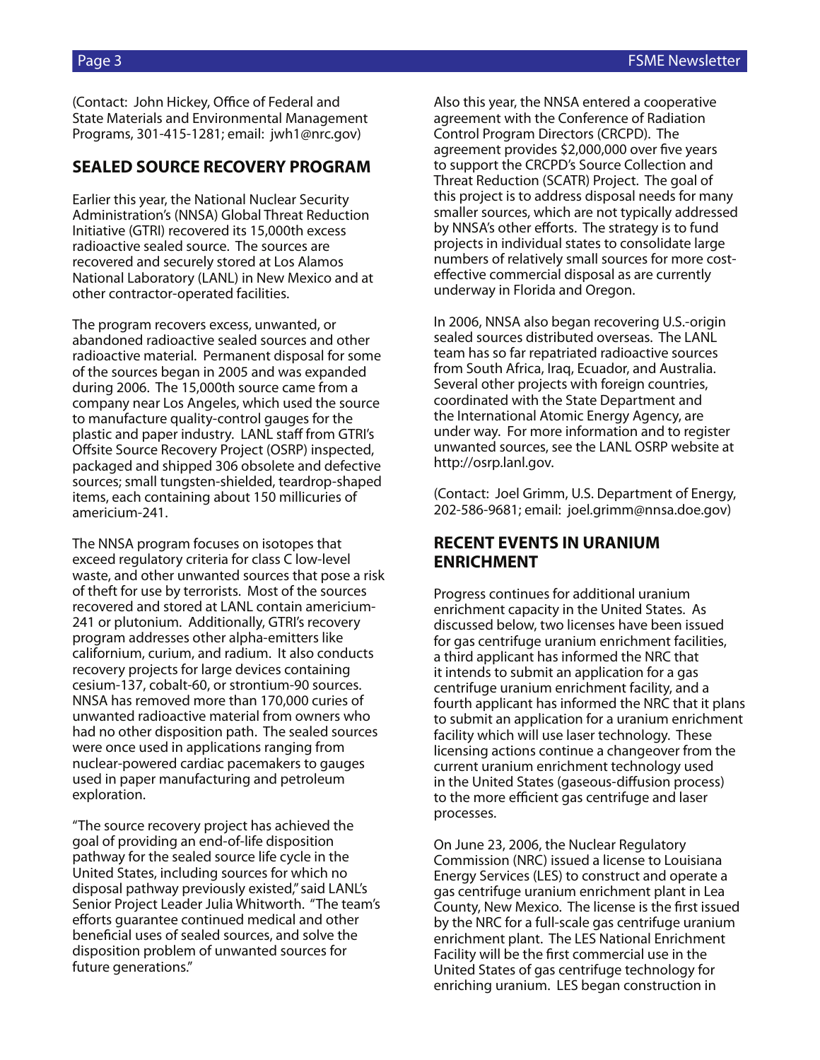(Contact: John Hickey, Office of Federal and State Materials and Environmental Management Programs, 301-415-1281; email: jwh1@nrc.gov)

## **SEALED SOURCE RECOVERY PROGRAM**

Earlier this year, the National Nuclear Security Administration's (NNSA) Global Threat Reduction Initiative (GTRI) recovered its 15,000th excess radioactive sealed source. The sources are recovered and securely stored at Los Alamos National Laboratory (LANL) in New Mexico and at other contractor-operated facilities.

The program recovers excess, unwanted, or abandoned radioactive sealed sources and other radioactive material. Permanent disposal for some of the sources began in 2005 and was expanded during 2006. The 15,000th source came from a company near Los Angeles, which used the source to manufacture quality-control gauges for the plastic and paper industry. LANL staff from GTRI's Offsite Source Recovery Project (OSRP) inspected, packaged and shipped 306 obsolete and defective sources; small tungsten-shielded, teardrop-shaped items, each containing about 150 millicuries of americium-241.

The NNSA program focuses on isotopes that exceed regulatory criteria for class C low-level waste, and other unwanted sources that pose a risk of theft for use by terrorists. Most of the sources recovered and stored at LANL contain americium-241 or plutonium. Additionally, GTRI's recovery program addresses other alpha-emitters like californium, curium, and radium. It also conducts recovery projects for large devices containing cesium-137, cobalt-60, or strontium-90 sources. NNSA has removed more than 170,000 curies of unwanted radioactive material from owners who had no other disposition path. The sealed sources were once used in applications ranging from nuclear-powered cardiac pacemakers to gauges used in paper manufacturing and petroleum exploration.

"The source recovery project has achieved the goal of providing an end-of-life disposition pathway for the sealed source life cycle in the United States, including sources for which no disposal pathway previously existed," said LANL's Senior Project Leader Julia Whitworth. "The team's efforts guarantee continued medical and other beneficial uses of sealed sources, and solve the disposition problem of unwanted sources for future generations."

Also this year, the NNSA entered a cooperative agreement with the Conference of Radiation Control Program Directors (CRCPD). The agreement provides \$2,000,000 over five years to support the CRCPD's Source Collection and Threat Reduction (SCATR) Project. The goal of this project is to address disposal needs for many smaller sources, which are not typically addressed by NNSA's other efforts. The strategy is to fund projects in individual states to consolidate large numbers of relatively small sources for more costeffective commercial disposal as are currently underway in Florida and Oregon.

In 2006, NNSA also began recovering U.S.-origin sealed sources distributed overseas. The LANL team has so far repatriated radioactive sources from South Africa, Iraq, Ecuador, and Australia. Several other projects with foreign countries, coordinated with the State Department and the International Atomic Energy Agency, are under way. For more information and to register unwanted sources, see the LANL OSRP website at http://osrp.lanl.gov.

(Contact: Joel Grimm, U.S. Department of Energy, 202-586-9681; email: joel.grimm@nnsa.doe.gov)

## **RECENT EVENTS IN URANIUM ENRICHMENT**

Progress continues for additional uranium enrichment capacity in the United States. As discussed below, two licenses have been issued for gas centrifuge uranium enrichment facilities, a third applicant has informed the NRC that it intends to submit an application for a gas centrifuge uranium enrichment facility, and a fourth applicant has informed the NRC that it plans to submit an application for a uranium enrichment facility which will use laser technology. These licensing actions continue a changeover from the current uranium enrichment technology used in the United States (gaseous-diffusion process) to the more efficient gas centrifuge and laser processes.

On June 23, 2006, the Nuclear Regulatory Commission (NRC) issued a license to Louisiana Energy Services (LES) to construct and operate a gas centrifuge uranium enrichment plant in Lea County, New Mexico. The license is the first issued by the NRC for a full-scale gas centrifuge uranium enrichment plant. The LES National Enrichment Facility will be the first commercial use in the United States of gas centrifuge technology for enriching uranium. LES began construction in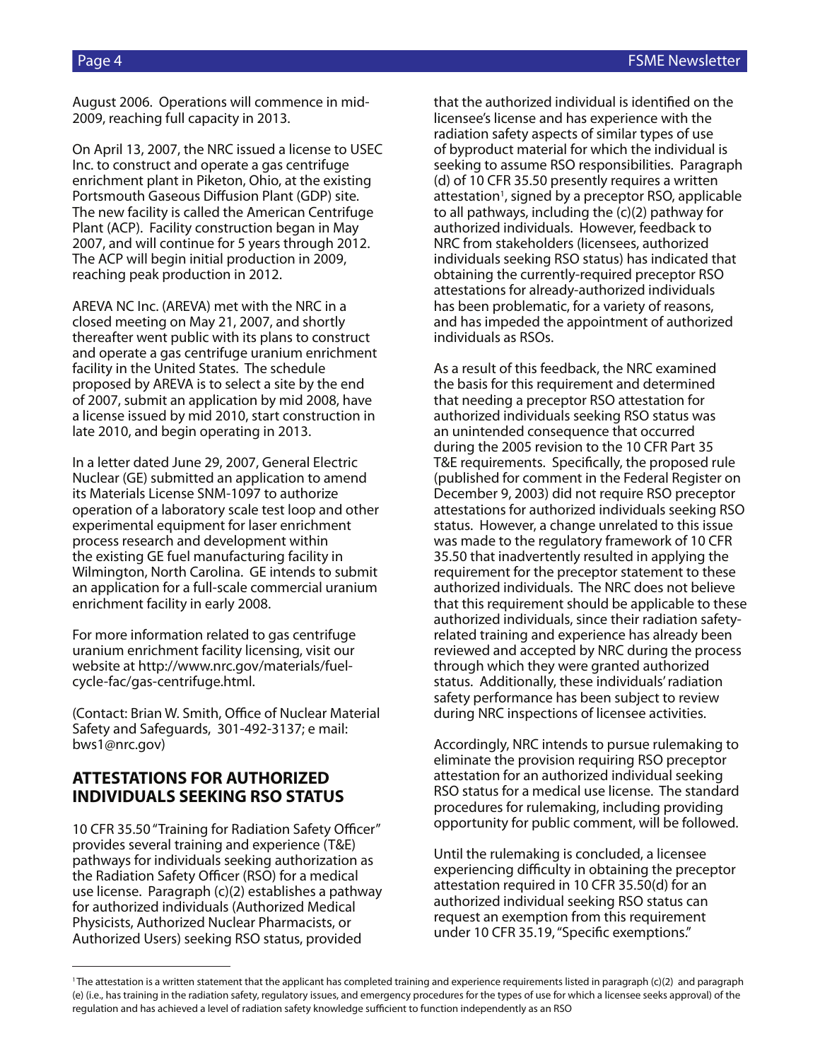August 2006. Operations will commence in mid-2009, reaching full capacity in 2013.

On April 13, 2007, the NRC issued a license to USEC Inc. to construct and operate a gas centrifuge enrichment plant in Piketon, Ohio, at the existing Portsmouth Gaseous Diffusion Plant (GDP) site. The new facility is called the American Centrifuge Plant (ACP). Facility construction began in May 2007, and will continue for 5 years through 2012. The ACP will begin initial production in 2009, reaching peak production in 2012.

AREVA NC Inc. (AREVA) met with the NRC in a closed meeting on May 21, 2007, and shortly thereafter went public with its plans to construct and operate a gas centrifuge uranium enrichment facility in the United States. The schedule proposed by AREVA is to select a site by the end of 2007, submit an application by mid 2008, have a license issued by mid 2010, start construction in late 2010, and begin operating in 2013.

In a letter dated June 29, 2007, General Electric Nuclear (GE) submitted an application to amend its Materials License SNM-1097 to authorize operation of a laboratory scale test loop and other experimental equipment for laser enrichment process research and development within the existing GE fuel manufacturing facility in Wilmington, North Carolina. GE intends to submit an application for a full-scale commercial uranium enrichment facility in early 2008.

For more information related to gas centrifuge uranium enrichment facility licensing, visit our website at http://www.nrc.gov/materials/fuelcycle-fac/gas-centrifuge.html.

(Contact: Brian W. Smith, Office of Nuclear Material Safety and Safeguards, 301-492-3137; e mail: bws1@nrc.gov)

## **ATTESTATIONS FOR AUTHORIZED INDIVIDUALS SEEKING RSO STATUS**

10 CFR 35.50 "Training for Radiation Safety Officer" provides several training and experience (T&E) pathways for individuals seeking authorization as the Radiation Safety Officer (RSO) for a medical use license. Paragraph (c)(2) establishes a pathway for authorized individuals (Authorized Medical Physicists, Authorized Nuclear Pharmacists, or Authorized Users) seeking RSO status, provided

that the authorized individual is identified on the licensee's license and has experience with the radiation safety aspects of similar types of use of byproduct material for which the individual is seeking to assume RSO responsibilities. Paragraph (d) of 10 CFR 35.50 presently requires a written attestation<sup>1</sup>, signed by a preceptor RSO, applicable to all pathways, including the (c)(2) pathway for authorized individuals. However, feedback to NRC from stakeholders (licensees, authorized individuals seeking RSO status) has indicated that obtaining the currently-required preceptor RSO attestations for already-authorized individuals has been problematic, for a variety of reasons, and has impeded the appointment of authorized individuals as RSOs.

As a result of this feedback, the NRC examined the basis for this requirement and determined that needing a preceptor RSO attestation for authorized individuals seeking RSO status was an unintended consequence that occurred during the 2005 revision to the 10 CFR Part 35 T&E requirements. Specifically, the proposed rule (published for comment in the Federal Register on December 9, 2003) did not require RSO preceptor attestations for authorized individuals seeking RSO status. However, a change unrelated to this issue was made to the regulatory framework of 10 CFR 35.50 that inadvertently resulted in applying the requirement for the preceptor statement to these authorized individuals. The NRC does not believe that this requirement should be applicable to these authorized individuals, since their radiation safetyrelated training and experience has already been reviewed and accepted by NRC during the process through which they were granted authorized status. Additionally, these individuals' radiation safety performance has been subject to review during NRC inspections of licensee activities.

Accordingly, NRC intends to pursue rulemaking to eliminate the provision requiring RSO preceptor attestation for an authorized individual seeking RSO status for a medical use license. The standard procedures for rulemaking, including providing opportunity for public comment, will be followed.

Until the rulemaking is concluded, a licensee experiencing difficulty in obtaining the preceptor attestation required in 10 CFR 35.50(d) for an authorized individual seeking RSO status can request an exemption from this requirement under 10 CFR 35.19, "Specific exemptions."

<sup>&</sup>lt;sup>1</sup>The attestation is a written statement that the applicant has completed training and experience requirements listed in paragraph (c)(2) and paragraph (e) (i.e., has training in the radiation safety, regulatory issues, and emergency procedures for the types of use for which a licensee seeks approval) of the regulation and has achieved a level of radiation safety knowledge sufficient to function independently as an RSO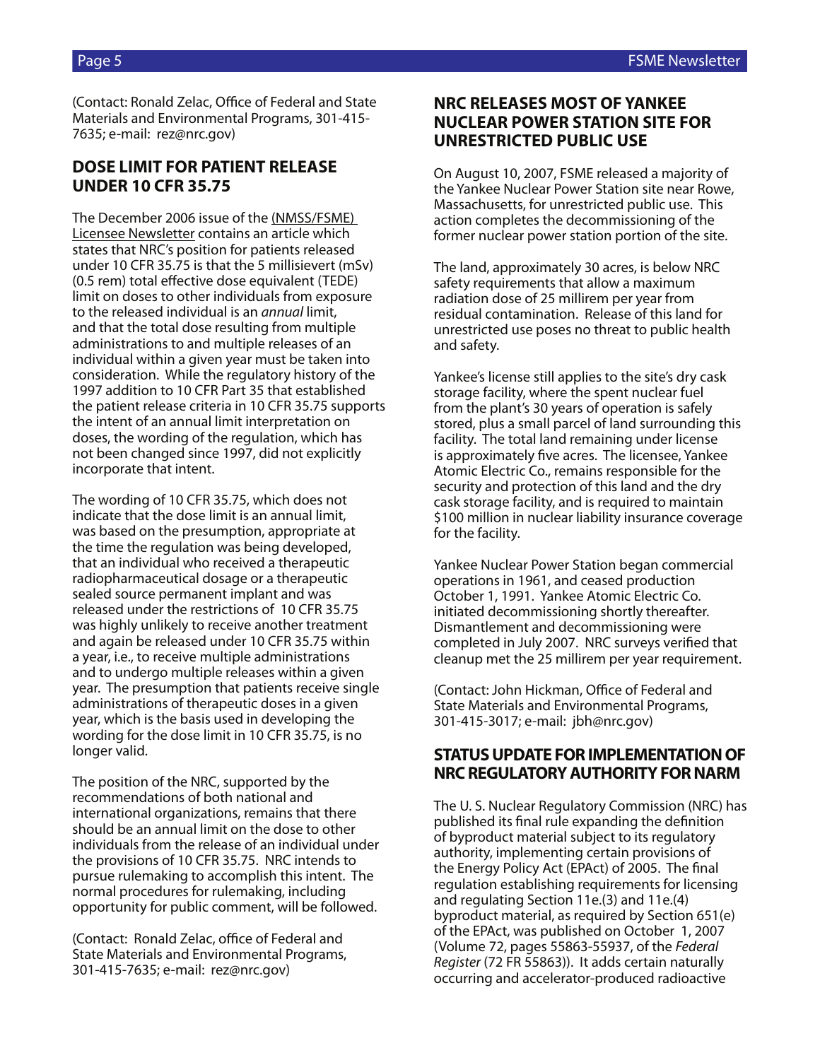(Contact: Ronald Zelac, Office of Federal and State Materials and Environmental Programs, 301-415- 7635; e-mail: rez@nrc.gov)

## **DOSE LIMIT FOR PATIENT RELEASE UNDER 10 CFR 35.75**

The December 2006 issue of the (NMSS/FSME) Licensee Newsletter contains an article which states that NRC's position for patients released under 10 CFR 35.75 is that the 5 millisievert (mSv) (0.5 rem) total effective dose equivalent (TEDE) limit on doses to other individuals from exposure to the released individual is an *annual* limit, and that the total dose resulting from multiple administrations to and multiple releases of an individual within a given year must be taken into consideration. While the regulatory history of the 1997 addition to 10 CFR Part 35 that established the patient release criteria in 10 CFR 35.75 supports the intent of an annual limit interpretation on doses, the wording of the regulation, which has not been changed since 1997, did not explicitly incorporate that intent.

The wording of 10 CFR 35.75, which does not indicate that the dose limit is an annual limit, was based on the presumption, appropriate at the time the regulation was being developed, that an individual who received a therapeutic radiopharmaceutical dosage or a therapeutic sealed source permanent implant and was released under the restrictions of 10 CFR 35.75 was highly unlikely to receive another treatment and again be released under 10 CFR 35.75 within a year, i.e., to receive multiple administrations and to undergo multiple releases within a given year. The presumption that patients receive single administrations of therapeutic doses in a given year, which is the basis used in developing the wording for the dose limit in 10 CFR 35.75, is no longer valid.

The position of the NRC, supported by the recommendations of both national and international organizations, remains that there should be an annual limit on the dose to other individuals from the release of an individual under the provisions of 10 CFR 35.75. NRC intends to pursue rulemaking to accomplish this intent. The normal procedures for rulemaking, including opportunity for public comment, will be followed.

(Contact: Ronald Zelac, office of Federal and State Materials and Environmental Programs, 301-415-7635; e-mail: rez@nrc.gov)

## **NRC RELEASES MOST OF YANKEE NUCLEAR POWER STATION SITE FOR UNRESTRICTED PUBLIC USE**

On August 10, 2007, FSME released a majority of the Yankee Nuclear Power Station site near Rowe, Massachusetts, for unrestricted public use. This action completes the decommissioning of the former nuclear power station portion of the site.

The land, approximately 30 acres, is below NRC safety requirements that allow a maximum radiation dose of 25 millirem per year from residual contamination. Release of this land for unrestricted use poses no threat to public health and safety.

Yankee's license still applies to the site's dry cask storage facility, where the spent nuclear fuel from the plant's 30 years of operation is safely stored, plus a small parcel of land surrounding this facility. The total land remaining under license is approximately five acres. The licensee, Yankee Atomic Electric Co., remains responsible for the security and protection of this land and the dry cask storage facility, and is required to maintain \$100 million in nuclear liability insurance coverage for the facility.

Yankee Nuclear Power Station began commercial operations in 1961, and ceased production October 1, 1991. Yankee Atomic Electric Co. initiated decommissioning shortly thereafter. Dismantlement and decommissioning were completed in July 2007. NRC surveys verified that cleanup met the 25 millirem per year requirement.

(Contact: John Hickman, Office of Federal and State Materials and Environmental Programs, 301-415-3017; e-mail: jbh@nrc.gov)

## **STATUS UPDATE FOR IMPLEMENTATION OF NRC REGULATORY AUTHORITY FOR NARM**

The U. S. Nuclear Regulatory Commission (NRC) has published its final rule expanding the definition of byproduct material subject to its regulatory authority, implementing certain provisions of the Energy Policy Act (EPAct) of 2005. The final regulation establishing requirements for licensing and regulating Section 11e.(3) and 11e.(4) byproduct material, as required by Section 651(e) of the EPAct, was published on October 1, 2007 (Volume 72, pages 55863-55937, of the *Federal Register* (72 FR 55863)). It adds certain naturally occurring and accelerator-produced radioactive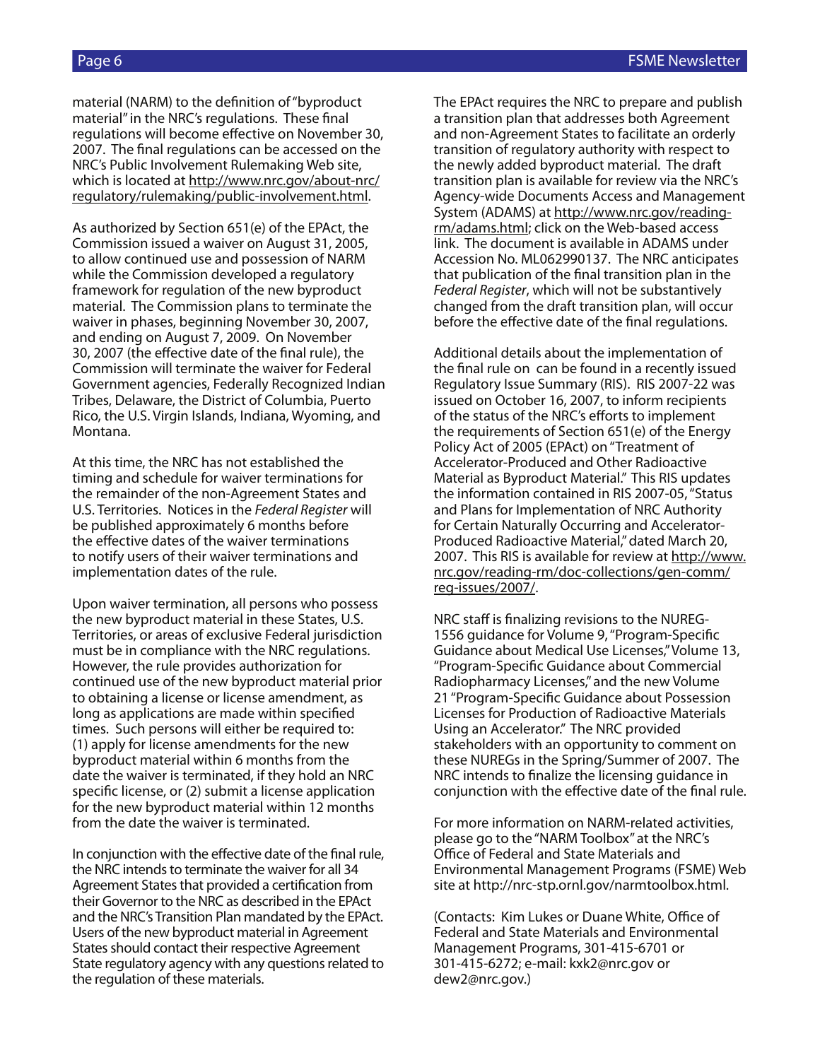material (NARM) to the definition of "byproduct material" in the NRC's regulations. These final regulations will become effective on November 30, 2007. The final regulations can be accessed on the NRC's Public Involvement Rulemaking Web site, which is located at http://www.nrc.gov/about-nrc/ regulatory/rulemaking/public-involvement.html.

As authorized by Section 651(e) of the EPAct, the Commission issued a waiver on August 31, 2005, to allow continued use and possession of NARM while the Commission developed a regulatory framework for regulation of the new byproduct material. The Commission plans to terminate the waiver in phases, beginning November 30, 2007, and ending on August 7, 2009. On November 30, 2007 (the effective date of the final rule), the Commission will terminate the waiver for Federal Government agencies, Federally Recognized Indian Tribes, Delaware, the District of Columbia, Puerto Rico, the U.S. Virgin Islands, Indiana, Wyoming, and Montana.

At this time, the NRC has not established the timing and schedule for waiver terminations for the remainder of the non-Agreement States and U.S. Territories. Notices in the *Federal Register* will be published approximately 6 months before the effective dates of the waiver terminations to notify users of their waiver terminations and implementation dates of the rule.

Upon waiver termination, all persons who possess the new byproduct material in these States, U.S. Territories, or areas of exclusive Federal jurisdiction must be in compliance with the NRC regulations. However, the rule provides authorization for continued use of the new byproduct material prior to obtaining a license or license amendment, as long as applications are made within specified times. Such persons will either be required to: (1) apply for license amendments for the new byproduct material within 6 months from the date the waiver is terminated, if they hold an NRC specific license, or (2) submit a license application for the new byproduct material within 12 months from the date the waiver is terminated.

In conjunction with the effective date of the final rule, the NRC intends to terminate the waiver for all 34 Agreement States that provided a certification from their Governor to the NRC as described in the EPAct and the NRC's Transition Plan mandated by the EPAct. Users of the new byproduct material in Agreement States should contact their respective Agreement State regulatory agency with any questions related to the regulation of these materials.

The EPAct requires the NRC to prepare and publish a transition plan that addresses both Agreement and non-Agreement States to facilitate an orderly transition of regulatory authority with respect to the newly added byproduct material. The draft transition plan is available for review via the NRC's Agency-wide Documents Access and Management System (ADAMS) at http://www.nrc.gov/readingrm/adams.html; click on the Web-based access link. The document is available in ADAMS under Accession No. ML062990137. The NRC anticipates that publication of the final transition plan in the *Federal Register*, which will not be substantively changed from the draft transition plan, will occur before the effective date of the final regulations.

Additional details about the implementation of the final rule on can be found in a recently issued Regulatory Issue Summary (RIS). RIS 2007-22 was issued on October 16, 2007, to inform recipients of the status of the NRC's efforts to implement the requirements of Section 651(e) of the Energy Policy Act of 2005 (EPAct) on "Treatment of Accelerator-Produced and Other Radioactive Material as Byproduct Material." This RIS updates the information contained in RIS 2007-05, "Status and Plans for Implementation of NRC Authority for Certain Naturally Occurring and Accelerator-Produced Radioactive Material," dated March 20, 2007. This RIS is available for review at http://www. nrc.gov/reading-rm/doc-collections/gen-comm/ reg-issues/2007/.

NRC staff is finalizing revisions to the NUREG-1556 guidance for Volume 9, "Program-Specific Guidance about Medical Use Licenses," Volume 13, "Program-Specific Guidance about Commercial Radiopharmacy Licenses," and the new Volume 21 "Program-Specific Guidance about Possession Licenses for Production of Radioactive Materials Using an Accelerator." The NRC provided stakeholders with an opportunity to comment on these NUREGs in the Spring/Summer of 2007. The NRC intends to finalize the licensing guidance in conjunction with the effective date of the final rule.

For more information on NARM-related activities, please go to the "NARM Toolbox" at the NRC's Office of Federal and State Materials and Environmental Management Programs (FSME) Web site at http://nrc-stp.ornl.gov/narmtoolbox.html.

(Contacts: Kim Lukes or Duane White, Office of Federal and State Materials and Environmental Management Programs, 301-415-6701 or 301-415-6272; e-mail: kxk2@nrc.gov or dew2@nrc.gov.)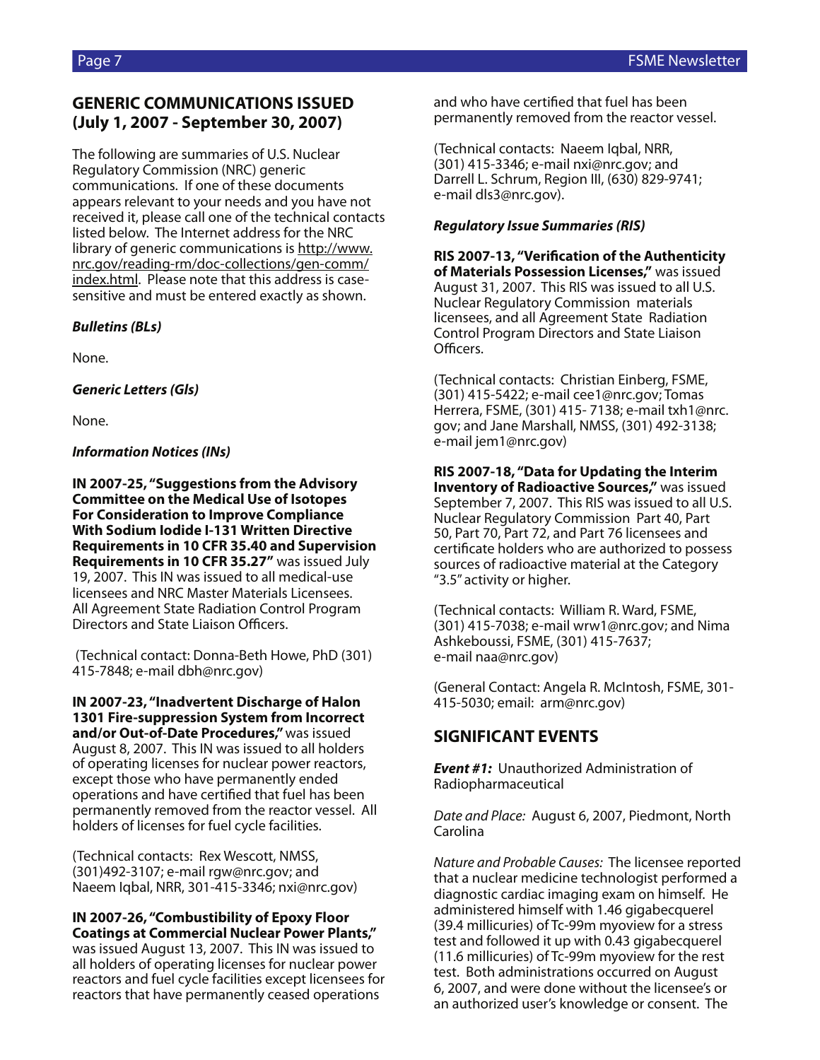## **GENERIC COMMUNICATIONS ISSUED (July 1, 2007 - September 30, 2007)**

The following are summaries of U.S. Nuclear Regulatory Commission (NRC) generic communications. If one of these documents appears relevant to your needs and you have not received it, please call one of the technical contacts listed below. The Internet address for the NRC library of generic communications is http://www. nrc.gov/reading-rm/doc-collections/gen-comm/ index.html. Please note that this address is casesensitive and must be entered exactly as shown.

### *Bulletins (BLs)*

None.

## *Generic Letters (Gls)*

None.

## *Information Notices (INs)*

**IN 2007-25, "Suggestions from the Advisory Committee on the Medical Use of Isotopes For Consideration to Improve Compliance With Sodium Iodide I-131 Written Directive Requirements in 10 CFR 35.40 and Supervision Requirements in 10 CFR 35.27"** was issued July 19, 2007. This IN was issued to all medical-use licensees and NRC Master Materials Licensees. All Agreement State Radiation Control Program Directors and State Liaison Officers.

 (Technical contact: Donna-Beth Howe, PhD (301) 415-7848; e-mail dbh@nrc.gov)

**IN 2007-23, "Inadvertent Discharge of Halon 1301 Fire-suppression System from Incorrect and/or Out-of-Date Procedures,"** was issued August 8, 2007. This IN was issued to all holders of operating licenses for nuclear power reactors, except those who have permanently ended operations and have certified that fuel has been permanently removed from the reactor vessel. All holders of licenses for fuel cycle facilities.

(Technical contacts: Rex Wescott, NMSS, (301)492-3107; e-mail rgw@nrc.gov; and Naeem Iqbal, NRR, 301-415-3346; nxi@nrc.gov)

**IN 2007-26, "Combustibility of Epoxy Floor Coatings at Commercial Nuclear Power Plants,"** was issued August 13, 2007. This IN was issued to all holders of operating licenses for nuclear power reactors and fuel cycle facilities except licensees for reactors that have permanently ceased operations

and who have certified that fuel has been permanently removed from the reactor vessel.

(Technical contacts: Naeem Iqbal, NRR, (301) 415-3346; e-mail nxi@nrc.gov; and Darrell L. Schrum, Region III, (630) 829-9741; e-mail dls3@nrc.gov).

## *Regulatory Issue Summaries (RIS)*

**RIS 2007-13, "Verification of the Authenticity of Materials Possession Licenses,"** was issued August 31, 2007. This RIS was issued to all U.S. Nuclear Regulatory Commission materials licensees, and all Agreement State Radiation Control Program Directors and State Liaison Officers.

(Technical contacts: Christian Einberg, FSME, (301) 415-5422; e-mail cee1@nrc.gov; Tomas Herrera, FSME, (301) 415- 7138; e-mail txh1@nrc. gov; and Jane Marshall, NMSS, (301) 492-3138; e-mail jem1@nrc.gov)

**RIS 2007-18, "Data for Updating the Interim Inventory of Radioactive Sources,"** was issued September 7, 2007. This RIS was issued to all U.S. Nuclear Regulatory Commission Part 40, Part 50, Part 70, Part 72, and Part 76 licensees and certificate holders who are authorized to possess sources of radioactive material at the Category "3.5" activity or higher.

(Technical contacts: William R. Ward, FSME, (301) 415-7038; e-mail wrw1@nrc.gov; and Nima Ashkeboussi, FSME, (301) 415-7637; e-mail naa@nrc.gov)

(General Contact: Angela R. McIntosh, FSME, 301- 415-5030; email: arm@nrc.gov)

## **SIGNIFICANT EVENTS**

*Event #1:* Unauthorized Administration of Radiopharmaceutical

*Date and Place:* August 6, 2007, Piedmont, North Carolina

*Nature and Probable Causes:* The licensee reported that a nuclear medicine technologist performed a diagnostic cardiac imaging exam on himself. He administered himself with 1.46 gigabecquerel (39.4 millicuries) of Tc-99m myoview for a stress test and followed it up with 0.43 gigabecquerel (11.6 millicuries) of Tc-99m myoview for the rest test. Both administrations occurred on August 6, 2007, and were done without the licensee's or an authorized user's knowledge or consent. The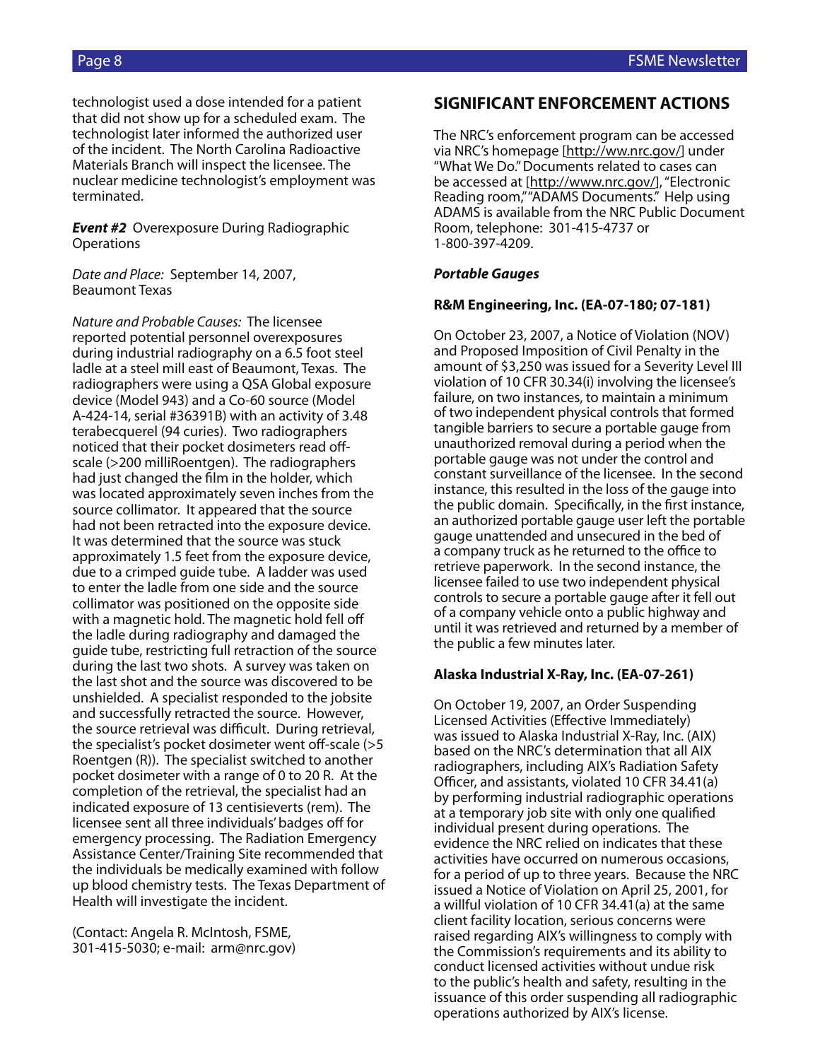technologist used a dose intended for a patient that did not show up for a scheduled exam. The technologist later informed the authorized user of the incident. The North Carolina Radioactive Materials Branch will inspect the licensee. The nuclear medicine technologist's employment was terminated.

*Event #2* Overexposure During Radiographic **Operations** 

*Date and Place:* September 14, 2007, Beaumont Texas

*Nature and Probable Causes:* The licensee reported potential personnel overexposures during industrial radiography on a 6.5 foot steel ladle at a steel mill east of Beaumont, Texas. The radiographers were using a QSA Global exposure device (Model 943) and a Co-60 source (Model A-424-14, serial #36391B) with an activity of 3.48 terabecquerel (94 curies). Two radiographers noticed that their pocket dosimeters read offscale (>200 milliRoentgen). The radiographers had just changed the film in the holder, which was located approximately seven inches from the source collimator. It appeared that the source had not been retracted into the exposure device. It was determined that the source was stuck approximately 1.5 feet from the exposure device, due to a crimped guide tube. A ladder was used to enter the ladle from one side and the source collimator was positioned on the opposite side with a magnetic hold. The magnetic hold fell off the ladle during radiography and damaged the guide tube, restricting full retraction of the source during the last two shots. A survey was taken on the last shot and the source was discovered to be unshielded. A specialist responded to the jobsite and successfully retracted the source. However, the source retrieval was difficult. During retrieval, the specialist's pocket dosimeter went off-scale (>5 Roentgen (R)). The specialist switched to another pocket dosimeter with a range of 0 to 20 R. At the completion of the retrieval, the specialist had an indicated exposure of 13 centisieverts (rem). The licensee sent all three individuals' badges off for emergency processing. The Radiation Emergency Assistance Center/Training Site recommended that the individuals be medically examined with follow up blood chemistry tests. The Texas Department of Health will investigate the incident.

(Contact: Angela R. McIntosh, FSME, 301-415-5030; e-mail: arm@nrc.gov)

### **SIGNIFICANT ENFORCEMENT ACTIONS**

The NRC's enforcement program can be accessed via NRC's homepage [http://ww.nrc.gov/] under "What We Do." Documents related to cases can be accessed at [http://www.nrc.gov/], "Electronic Reading room," "ADAMS Documents." Help using ADAMS is available from the NRC Public Document Room, telephone: 301-415-4737 or 1-800-397-4209.

#### *Portable Gauges*

#### **R&M Engineering, Inc. (EA-07-180; 07-181)**

On October 23, 2007, a Notice of Violation (NOV) and Proposed Imposition of Civil Penalty in the amount of \$3,250 was issued for a Severity Level III violation of 10 CFR 30.34(i) involving the licensee's failure, on two instances, to maintain a minimum of two independent physical controls that formed tangible barriers to secure a portable gauge from unauthorized removal during a period when the portable gauge was not under the control and constant surveillance of the licensee. In the second instance, this resulted in the loss of the gauge into the public domain. Specifically, in the first instance, an authorized portable gauge user left the portable gauge unattended and unsecured in the bed of a company truck as he returned to the office to retrieve paperwork. In the second instance, the licensee failed to use two independent physical controls to secure a portable gauge after it fell out of a company vehicle onto a public highway and until it was retrieved and returned by a member of the public a few minutes later.

#### **Alaska Industrial X-Ray, Inc. (EA-07-261)**

On October 19, 2007, an Order Suspending Licensed Activities (Effective Immediately) was issued to Alaska Industrial X-Ray, Inc. (AIX) based on the NRC's determination that all AIX radiographers, including AIX's Radiation Safety Officer, and assistants, violated 10 CFR 34.41(a) by performing industrial radiographic operations at a temporary job site with only one qualified individual present during operations. The evidence the NRC relied on indicates that these activities have occurred on numerous occasions, for a period of up to three years. Because the NRC issued a Notice of Violation on April 25, 2001, for a willful violation of 10 CFR 34.41(a) at the same client facility location, serious concerns were raised regarding AIX's willingness to comply with the Commission's requirements and its ability to conduct licensed activities without undue risk to the public's health and safety, resulting in the issuance of this order suspending all radiographic operations authorized by AIX's license.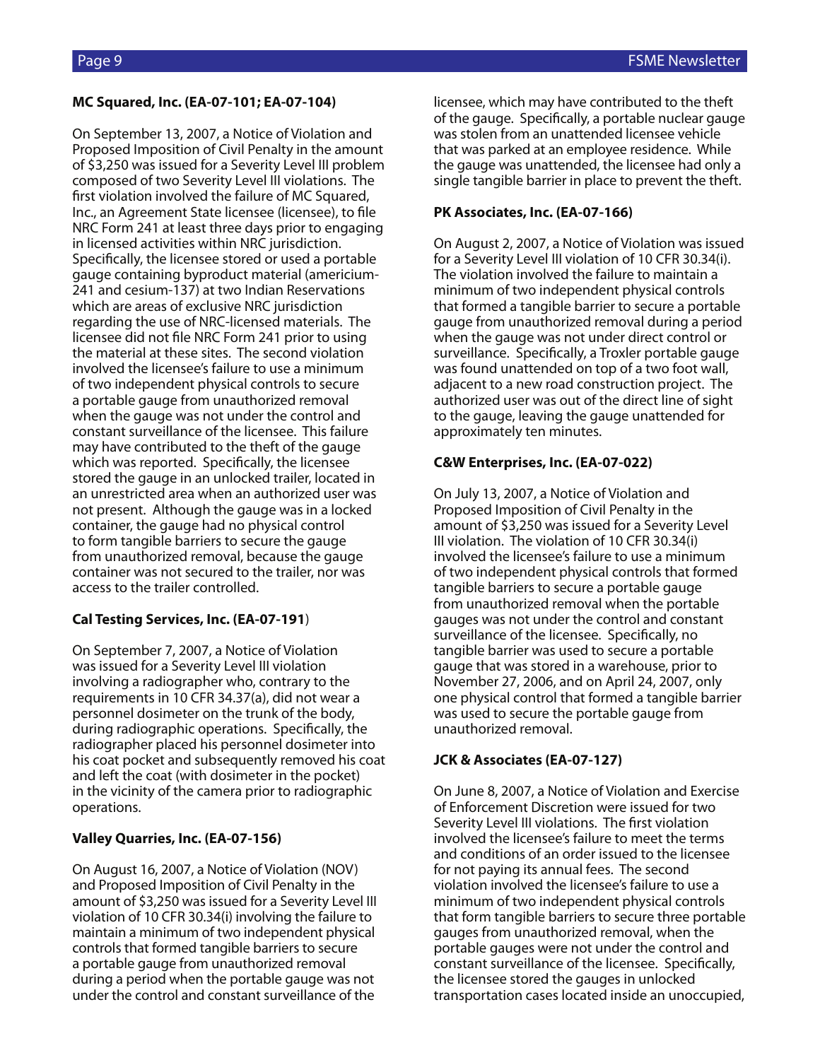### **MC Squared, Inc. (EA-07-101; EA-07-104)**

On September 13, 2007, a Notice of Violation and Proposed Imposition of Civil Penalty in the amount of \$3,250 was issued for a Severity Level III problem composed of two Severity Level III violations. The first violation involved the failure of MC Squared, Inc., an Agreement State licensee (licensee), to file NRC Form 241 at least three days prior to engaging in licensed activities within NRC jurisdiction. Specifically, the licensee stored or used a portable gauge containing byproduct material (americium-241 and cesium-137) at two Indian Reservations which are areas of exclusive NRC jurisdiction regarding the use of NRC-licensed materials. The licensee did not file NRC Form 241 prior to using the material at these sites. The second violation involved the licensee's failure to use a minimum of two independent physical controls to secure a portable gauge from unauthorized removal when the gauge was not under the control and constant surveillance of the licensee. This failure may have contributed to the theft of the gauge which was reported. Specifically, the licensee stored the gauge in an unlocked trailer, located in an unrestricted area when an authorized user was not present. Although the gauge was in a locked container, the gauge had no physical control to form tangible barriers to secure the gauge from unauthorized removal, because the gauge container was not secured to the trailer, nor was access to the trailer controlled.

### **Cal Testing Services, Inc. (EA-07-191**)

On September 7, 2007, a Notice of Violation was issued for a Severity Level III violation involving a radiographer who, contrary to the requirements in 10 CFR 34.37(a), did not wear a personnel dosimeter on the trunk of the body, during radiographic operations. Specifically, the radiographer placed his personnel dosimeter into his coat pocket and subsequently removed his coat and left the coat (with dosimeter in the pocket) in the vicinity of the camera prior to radiographic operations.

### **Valley Quarries, Inc. (EA-07-156)**

On August 16, 2007, a Notice of Violation (NOV) and Proposed Imposition of Civil Penalty in the amount of \$3,250 was issued for a Severity Level III violation of 10 CFR 30.34(i) involving the failure to maintain a minimum of two independent physical controls that formed tangible barriers to secure a portable gauge from unauthorized removal during a period when the portable gauge was not under the control and constant surveillance of the

licensee, which may have contributed to the theft of the gauge. Specifically, a portable nuclear gauge was stolen from an unattended licensee vehicle that was parked at an employee residence. While the gauge was unattended, the licensee had only a single tangible barrier in place to prevent the theft.

### **PK Associates, Inc. (EA-07-166)**

On August 2, 2007, a Notice of Violation was issued for a Severity Level III violation of 10 CFR 30.34(i). The violation involved the failure to maintain a minimum of two independent physical controls that formed a tangible barrier to secure a portable gauge from unauthorized removal during a period when the gauge was not under direct control or surveillance. Specifically, a Troxler portable gauge was found unattended on top of a two foot wall, adjacent to a new road construction project. The authorized user was out of the direct line of sight to the gauge, leaving the gauge unattended for approximately ten minutes.

## **C&W Enterprises, Inc. (EA-07-022)**

On July 13, 2007, a Notice of Violation and Proposed Imposition of Civil Penalty in the amount of \$3,250 was issued for a Severity Level III violation. The violation of 10 CFR 30.34(i) involved the licensee's failure to use a minimum of two independent physical controls that formed tangible barriers to secure a portable gauge from unauthorized removal when the portable gauges was not under the control and constant surveillance of the licensee. Specifically, no tangible barrier was used to secure a portable gauge that was stored in a warehouse, prior to November 27, 2006, and on April 24, 2007, only one physical control that formed a tangible barrier was used to secure the portable gauge from unauthorized removal.

### **JCK & Associates (EA-07-127)**

On June 8, 2007, a Notice of Violation and Exercise of Enforcement Discretion were issued for two Severity Level III violations. The first violation involved the licensee's failure to meet the terms and conditions of an order issued to the licensee for not paying its annual fees. The second violation involved the licensee's failure to use a minimum of two independent physical controls that form tangible barriers to secure three portable gauges from unauthorized removal, when the portable gauges were not under the control and constant surveillance of the licensee. Specifically, the licensee stored the gauges in unlocked transportation cases located inside an unoccupied,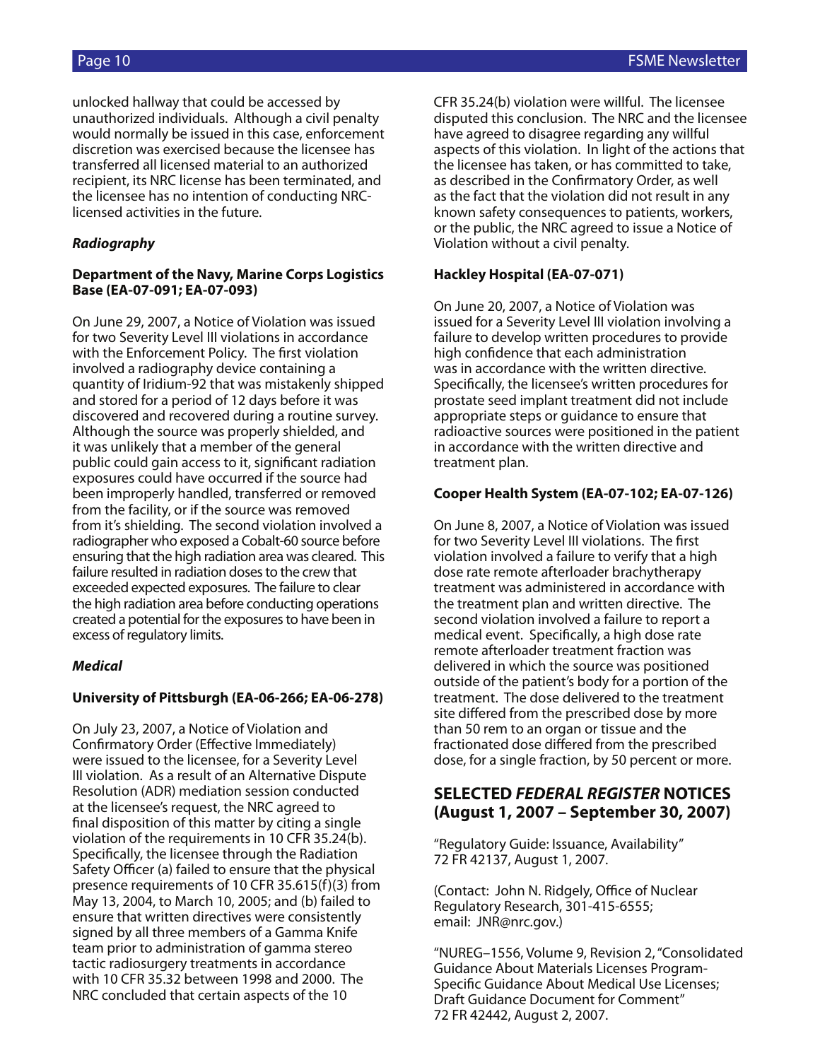unlocked hallway that could be accessed by unauthorized individuals. Although a civil penalty would normally be issued in this case, enforcement discretion was exercised because the licensee has transferred all licensed material to an authorized recipient, its NRC license has been terminated, and the licensee has no intention of conducting NRClicensed activities in the future.

### *Radiography*

#### **Department of the Navy, Marine Corps Logistics Base (EA-07-091; EA-07-093)**

On June 29, 2007, a Notice of Violation was issued for two Severity Level III violations in accordance with the Enforcement Policy. The first violation involved a radiography device containing a quantity of Iridium-92 that was mistakenly shipped and stored for a period of 12 days before it was discovered and recovered during a routine survey. Although the source was properly shielded, and it was unlikely that a member of the general public could gain access to it, significant radiation exposures could have occurred if the source had been improperly handled, transferred or removed from the facility, or if the source was removed from it's shielding. The second violation involved a radiographer who exposed a Cobalt-60 source before ensuring that the high radiation area was cleared. This failure resulted in radiation doses to the crew that exceeded expected exposures. The failure to clear the high radiation area before conducting operations created a potential for the exposures to have been in excess of regulatory limits.

### *Medical*

### **University of Pittsburgh (EA-06-266; EA-06-278)**

On July 23, 2007, a Notice of Violation and Confirmatory Order (Effective Immediately) were issued to the licensee, for a Severity Level III violation. As a result of an Alternative Dispute Resolution (ADR) mediation session conducted at the licensee's request, the NRC agreed to final disposition of this matter by citing a single violation of the requirements in 10 CFR 35.24(b). Specifically, the licensee through the Radiation Safety Officer (a) failed to ensure that the physical presence requirements of 10 CFR 35.615(f)(3) from May 13, 2004, to March 10, 2005; and (b) failed to ensure that written directives were consistently signed by all three members of a Gamma Knife team prior to administration of gamma stereo tactic radiosurgery treatments in accordance with 10 CFR 35.32 between 1998 and 2000. The NRC concluded that certain aspects of the 10

CFR 35.24(b) violation were willful. The licensee disputed this conclusion. The NRC and the licensee have agreed to disagree regarding any willful aspects of this violation. In light of the actions that the licensee has taken, or has committed to take, as described in the Confirmatory Order, as well as the fact that the violation did not result in any known safety consequences to patients, workers, or the public, the NRC agreed to issue a Notice of Violation without a civil penalty.

### **Hackley Hospital (EA-07-071)**

On June 20, 2007, a Notice of Violation was issued for a Severity Level III violation involving a failure to develop written procedures to provide high confidence that each administration was in accordance with the written directive. Specifically, the licensee's written procedures for prostate seed implant treatment did not include appropriate steps or guidance to ensure that radioactive sources were positioned in the patient in accordance with the written directive and treatment plan.

#### **Cooper Health System (EA-07-102; EA-07-126)**

On June 8, 2007, a Notice of Violation was issued for two Severity Level III violations. The first violation involved a failure to verify that a high dose rate remote afterloader brachytherapy treatment was administered in accordance with the treatment plan and written directive. The second violation involved a failure to report a medical event. Specifically, a high dose rate remote afterloader treatment fraction was delivered in which the source was positioned outside of the patient's body for a portion of the treatment. The dose delivered to the treatment site differed from the prescribed dose by more than 50 rem to an organ or tissue and the fractionated dose differed from the prescribed dose, for a single fraction, by 50 percent or more.

## **SELECTED** *FEDERAL REGISTER* **NOTICES (August 1, 2007 – September 30, 2007)**

"Regulatory Guide: Issuance, Availability" 72 FR 42137, August 1, 2007.

(Contact: John N. Ridgely, Office of Nuclear Regulatory Research, 301-415-6555; email: JNR@nrc.gov.)

"NUREG–1556, Volume 9, Revision 2, ''Consolidated Guidance About Materials Licenses Program-Specific Guidance About Medical Use Licenses; Draft Guidance Document for Comment" 72 FR 42442, August 2, 2007.